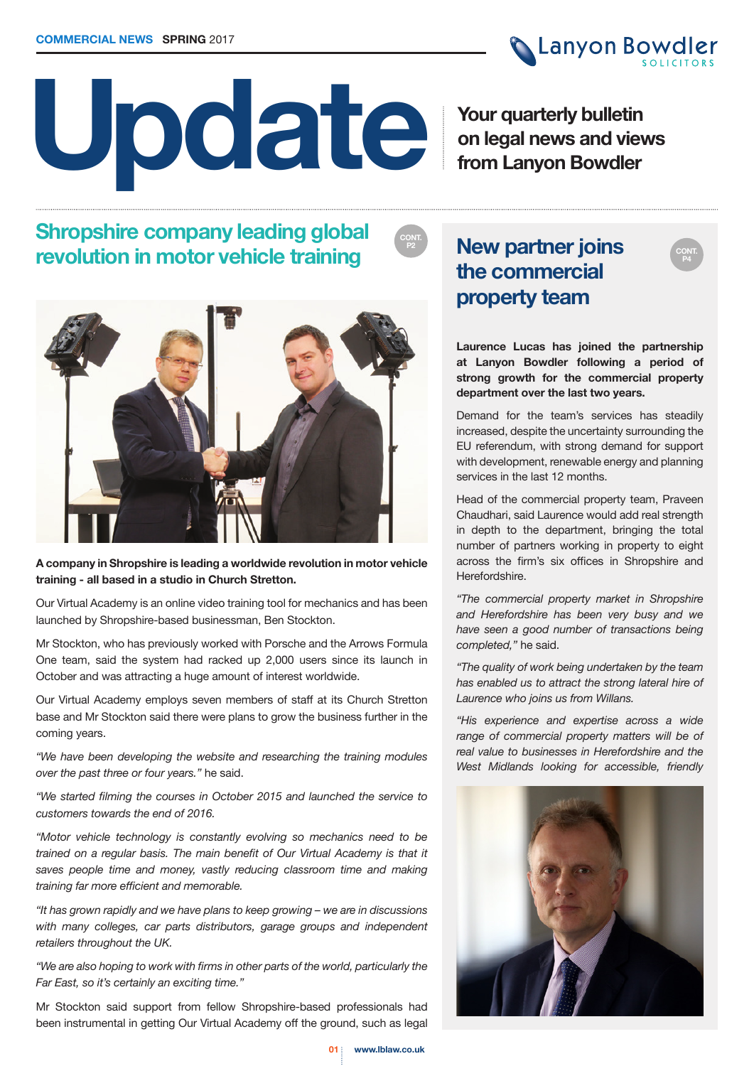

**CONT. P4**

# **Update**

**Your quarterly bulletin on legal news and views from Lanyon Bowdler**

# **Shropshire company leading global revolution in motor vehicle training**



### **A company in Shropshire is leading a worldwide revolution in motor vehicle training - all based in a studio in Church Stretton.**

Our Virtual Academy is an online video training tool for mechanics and has been launched by Shropshire-based businessman, Ben Stockton.

Mr Stockton, who has previously worked with Porsche and the Arrows Formula One team, said the system had racked up 2,000 users since its launch in October and was attracting a huge amount of interest worldwide.

Our Virtual Academy employs seven members of staff at its Church Stretton base and Mr Stockton said there were plans to grow the business further in the coming years.

*"We have been developing the website and researching the training modules over the past three or four years."* he said.

*"We started filming the courses in October 2015 and launched the service to customers towards the end of 2016.*

*"Motor vehicle technology is constantly evolving so mechanics need to be trained on a regular basis. The main benefit of Our Virtual Academy is that it saves people time and money, vastly reducing classroom time and making training far more efficient and memorable.*

*"It has grown rapidly and we have plans to keep growing – we are in discussions with many colleges, car parts distributors, garage groups and independent retailers throughout the UK.*

*"We are also hoping to work with firms in other parts of the world, particularly the Far East, so it's certainly an exciting time."*

Mr Stockton said support from fellow Shropshire-based professionals had been instrumental in getting Our Virtual Academy off the ground, such as legal

# **P2 New partner joins the commercial property team**

**CONT.** 

**Laurence Lucas has joined the partnership at Lanyon Bowdler following a period of strong growth for the commercial property department over the last two years.**

Demand for the team's services has steadily increased, despite the uncertainty surrounding the EU referendum, with strong demand for support with development, renewable energy and planning services in the last 12 months.

Head of the commercial property team, Praveen Chaudhari, said Laurence would add real strength in depth to the department, bringing the total number of partners working in property to eight across the firm's six offices in Shropshire and Herefordshire.

*"The commercial property market in Shropshire and Herefordshire has been very busy and we have seen a good number of transactions being completed,"* he said.

*"The quality of work being undertaken by the team has enabled us to attract the strong lateral hire of Laurence who joins us from Willans.*

*"His experience and expertise across a wide range of commercial property matters will be of real value to businesses in Herefordshire and the West Midlands looking for accessible, friendly* 

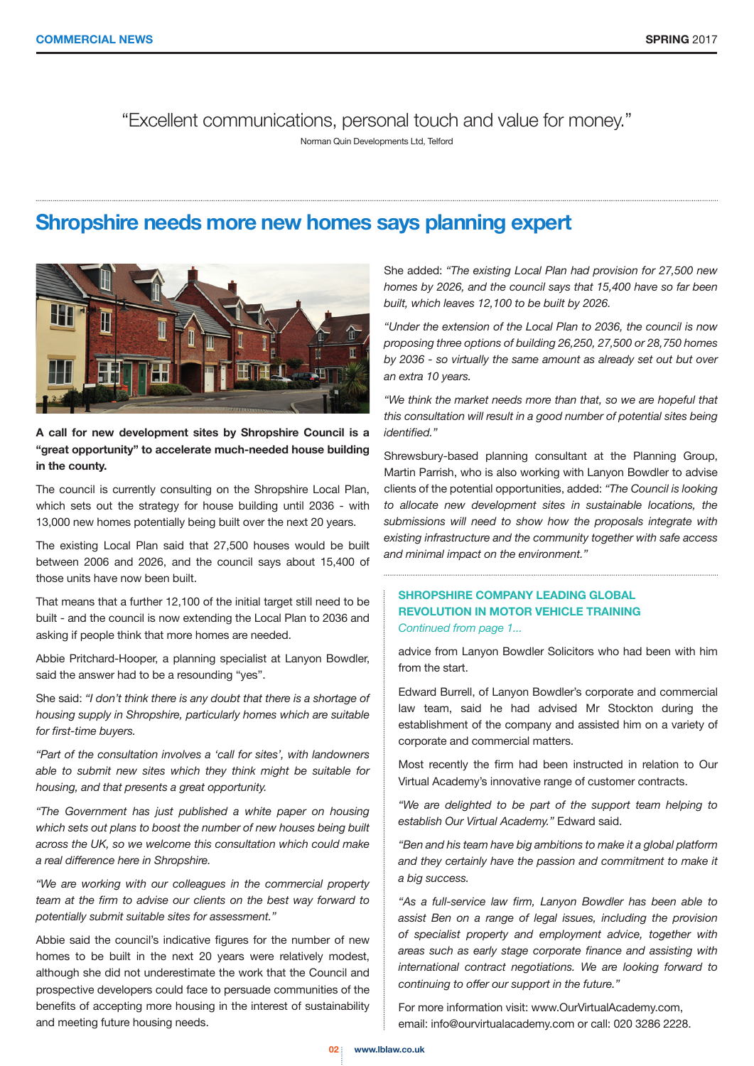"Excellent communications, personal touch and value for money."

Norman Quin Developments Ltd, Telford

# **Shropshire needs more new homes says planning expert**



### **A call for new development sites by Shropshire Council is a "great opportunity" to accelerate much-needed house building in the county.**

The council is currently consulting on the Shropshire Local Plan, which sets out the strategy for house building until 2036 - with 13,000 new homes potentially being built over the next 20 years.

The existing Local Plan said that 27,500 houses would be built between 2006 and 2026, and the council says about 15,400 of those units have now been built.

That means that a further 12,100 of the initial target still need to be built - and the council is now extending the Local Plan to 2036 and asking if people think that more homes are needed.

Abbie Pritchard-Hooper, a planning specialist at Lanyon Bowdler, said the answer had to be a resounding "yes".

She said: *"I don't think there is any doubt that there is a shortage of housing supply in Shropshire, particularly homes which are suitable for first-time buyers.*

*"Part of the consultation involves a 'call for sites', with landowners able to submit new sites which they think might be suitable for housing, and that presents a great opportunity.*

*"The Government has just published a white paper on housing which sets out plans to boost the number of new houses being built across the UK, so we welcome this consultation which could make a real difference here in Shropshire.*

*"We are working with our colleagues in the commercial property team at the firm to advise our clients on the best way forward to potentially submit suitable sites for assessment."*

Abbie said the council's indicative figures for the number of new homes to be built in the next 20 years were relatively modest, although she did not underestimate the work that the Council and prospective developers could face to persuade communities of the benefits of accepting more housing in the interest of sustainability and meeting future housing needs.

She added: *"The existing Local Plan had provision for 27,500 new homes by 2026, and the council says that 15,400 have so far been built, which leaves 12,100 to be built by 2026.*

*"Under the extension of the Local Plan to 2036, the council is now proposing three options of building 26,250, 27,500 or 28,750 homes by 2036 - so virtually the same amount as already set out but over an extra 10 years.*

*"We think the market needs more than that, so we are hopeful that this consultation will result in a good number of potential sites being identified."*

Shrewsbury-based planning consultant at the Planning Group, Martin Parrish, who is also working with Lanyon Bowdler to advise clients of the potential opportunities, added: *"The Council is looking to allocate new development sites in sustainable locations, the submissions will need to show how the proposals integrate with existing infrastructure and the community together with safe access and minimal impact on the environment."*

### **SHROPSHIRE COMPANY LEADING GLOBAL REVOLUTION IN MOTOR VEHICLE TRAINING** *Continued from page 1...*

advice from Lanyon Bowdler Solicitors who had been with him from the start.

Edward Burrell, of Lanyon Bowdler's corporate and commercial law team, said he had advised Mr Stockton during the establishment of the company and assisted him on a variety of corporate and commercial matters.

Most recently the firm had been instructed in relation to Our Virtual Academy's innovative range of customer contracts.

*"We are delighted to be part of the support team helping to establish Our Virtual Academy."* Edward said.

*"Ben and his team have big ambitions to make it a global platform and they certainly have the passion and commitment to make it a big success.*

*"As a full-service law firm, Lanyon Bowdler has been able to assist Ben on a range of legal issues, including the provision of specialist property and employment advice, together with areas such as early stage corporate finance and assisting with international contract negotiations. We are looking forward to continuing to offer our support in the future."*

For more information visit: www.OurVirtualAcademy.com, email: info@ourvirtualacademy.com or call: 020 3286 2228.

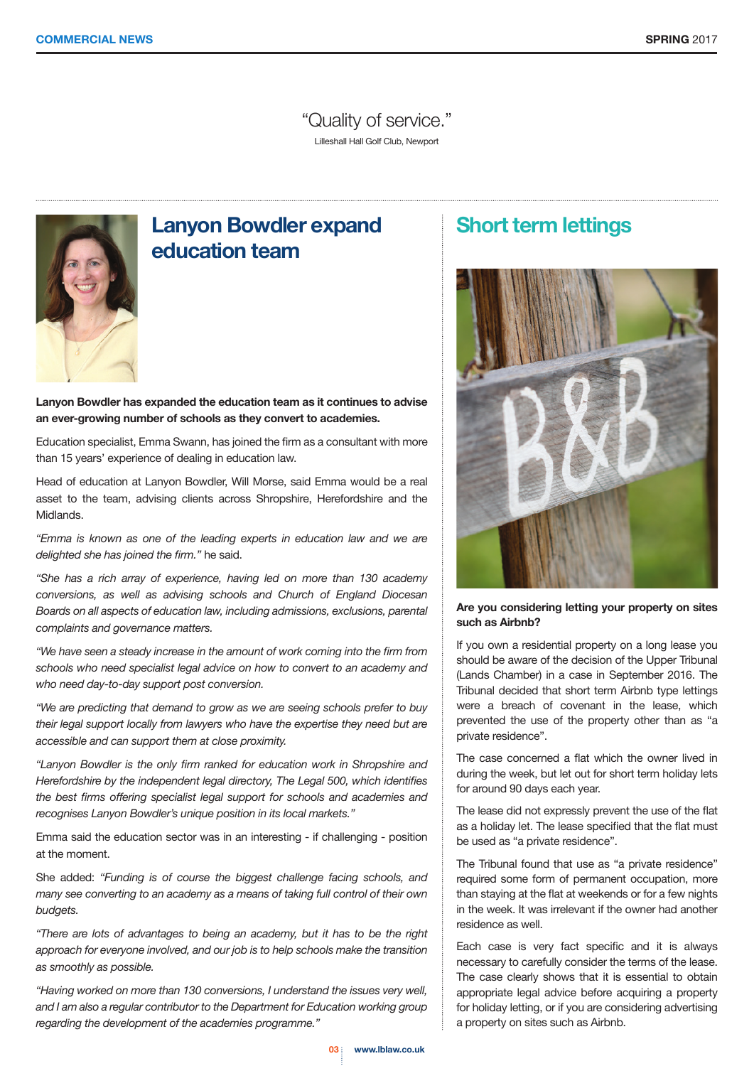"Quality of service." Lilleshall Hall Golf Club, Newport



# **Lanyon Bowdler expand education team**

**Lanyon Bowdler has expanded the education team as it continues to advise an ever-growing number of schools as they convert to academies.**

Education specialist, Emma Swann, has joined the firm as a consultant with more than 15 years' experience of dealing in education law.

Head of education at Lanyon Bowdler, Will Morse, said Emma would be a real asset to the team, advising clients across Shropshire, Herefordshire and the Midlands.

*"Emma is known as one of the leading experts in education law and we are delighted she has joined the firm."* he said.

*"She has a rich array of experience, having led on more than 130 academy conversions, as well as advising schools and Church of England Diocesan Boards on all aspects of education law, including admissions, exclusions, parental complaints and governance matters.*

*"We have seen a steady increase in the amount of work coming into the firm from schools who need specialist legal advice on how to convert to an academy and who need day-to-day support post conversion.*

*"We are predicting that demand to grow as we are seeing schools prefer to buy their legal support locally from lawyers who have the expertise they need but are accessible and can support them at close proximity.*

*"Lanyon Bowdler is the only firm ranked for education work in Shropshire and Herefordshire by the independent legal directory, The Legal 500, which identifies the best firms offering specialist legal support for schools and academies and recognises Lanyon Bowdler's unique position in its local markets."*

Emma said the education sector was in an interesting - if challenging - position at the moment.

She added: *"Funding is of course the biggest challenge facing schools, and many see converting to an academy as a means of taking full control of their own budgets.*

*"There are lots of advantages to being an academy, but it has to be the right approach for everyone involved, and our job is to help schools make the transition as smoothly as possible.*

*"Having worked on more than 130 conversions, I understand the issues very well, and I am also a regular contributor to the Department for Education working group regarding the development of the academies programme."*

## **Short term lettings**



### **Are you considering letting your property on sites such as Airbnb?**

If you own a residential property on a long lease you should be aware of the decision of the Upper Tribunal (Lands Chamber) in a case in September 2016. The Tribunal decided that short term Airbnb type lettings were a breach of covenant in the lease, which prevented the use of the property other than as "a private residence".

The case concerned a flat which the owner lived in during the week, but let out for short term holiday lets for around 90 days each year.

The lease did not expressly prevent the use of the flat as a holiday let. The lease specified that the flat must be used as "a private residence".

The Tribunal found that use as "a private residence" required some form of permanent occupation, more than staying at the flat at weekends or for a few nights in the week. It was irrelevant if the owner had another residence as well.

Each case is very fact specific and it is always necessary to carefully consider the terms of the lease. The case clearly shows that it is essential to obtain appropriate legal advice before acquiring a property for holiday letting, or if you are considering advertising a property on sites such as Airbnb.